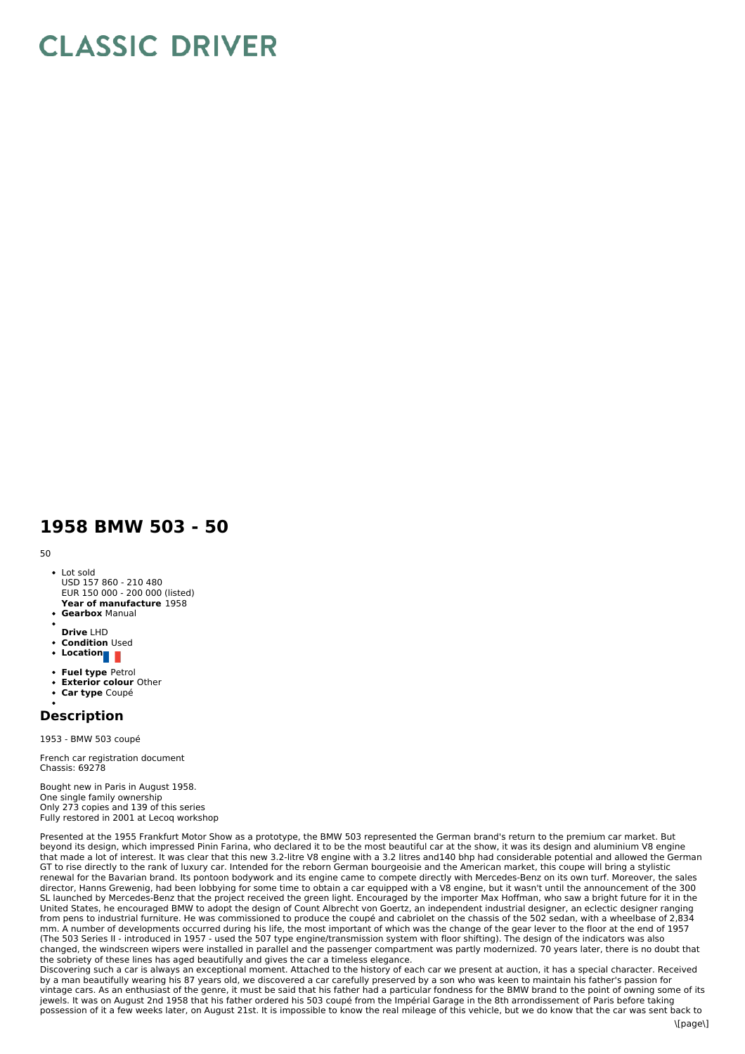## **CLASSIC DRIVER**

## **1958 BMW 503 - 50**

50

- **Year of manufacture** 1958 • Lot sold USD 157 860 - 210 480 EUR 150 000 - 200 000 (listed)
- **Gearbox** Manual
- **Drive** LHD
- **Condition** Used
- Location
- 
- **Fuel type** Petrol **Exterior colour** Other
- **Car type** Coupé  $\bullet$
- 

## **Description**

1953 - BMW 503 coupé

French car registration document Chassis: 69278

Bought new in Paris in August 1958. One single family ownership Only 273 copies and 139 of this series Fully restored in 2001 at Lecoq workshop

Presented at the 1955 Frankfurt Motor Show as a prototype, the BMW 503 represented the German brand's return to the premium car market. But beyond its design, which impressed Pinin Farina, who declared it to be the most beautiful car at the show, it was its design and aluminium V8 engine that made a lot of interest. It was clear that this new 3.2-litre V8 engine with a 3.2 litres and140 bhp had considerable potential and allowed the German GT to rise directly to the rank of luxury car. Intended for the reborn German bourgeoisie and the American market, this coupe will bring a stylistic renewal for the Bavarian brand. Its pontoon bodywork and its engine came to compete directly with Mercedes-Benz on its own turf. Moreover, the sales director, Hanns Grewenig, had been lobbying for some time to obtain a car equipped with a V8 engine, but it wasn't until the announcement of the 300 SL launched by Mercedes-Benz that the project received the green light. Encouraged by the importer Max Hoffman, who saw a bright future for it in the United States, he encouraged BMW to adopt the design of Count Albrecht von Goertz, an independent industrial designer, an eclectic designer ranging from pens to industrial furniture. He was commissioned to produce the coupé and cabriolet on the chassis of the 502 sedan, with a wheelbase of 2,834 mm. A number of developments occurred during his life, the most important of which was the change of the gear lever to the floor at the end of 1957 (The 503 Series II - introduced in 1957 - used the 507 type engine/transmission system with floor shifting). The design of the indicators was also changed, the windscreen wipers were installed in parallel and the passenger compartment was partly modernized. 70 years later, there is no doubt that the sobriety of these lines has aged beautifully and gives the car a timeless elegance.

Discovering such a car is always an exceptional moment. Attached to the history of each car we present at auction, it has a special character. Received by a man beautifully wearing his 87 years old, we discovered a car carefully preserved by a son who was keen to maintain his father's passion for vintage cars. As an enthusiast of the genre, it must be said that his father had a particular fondness for the BMW brand to the point of owning some of its jewels. It was on August 2nd 1958 that his father ordered his 503 coupé from the Impérial Garage in the 8th arrondissement of Paris before taking possession of it a few weeks later, on August 21st. It is impossible to know the real mileage of this vehicle, but we do know that the car was sent back to